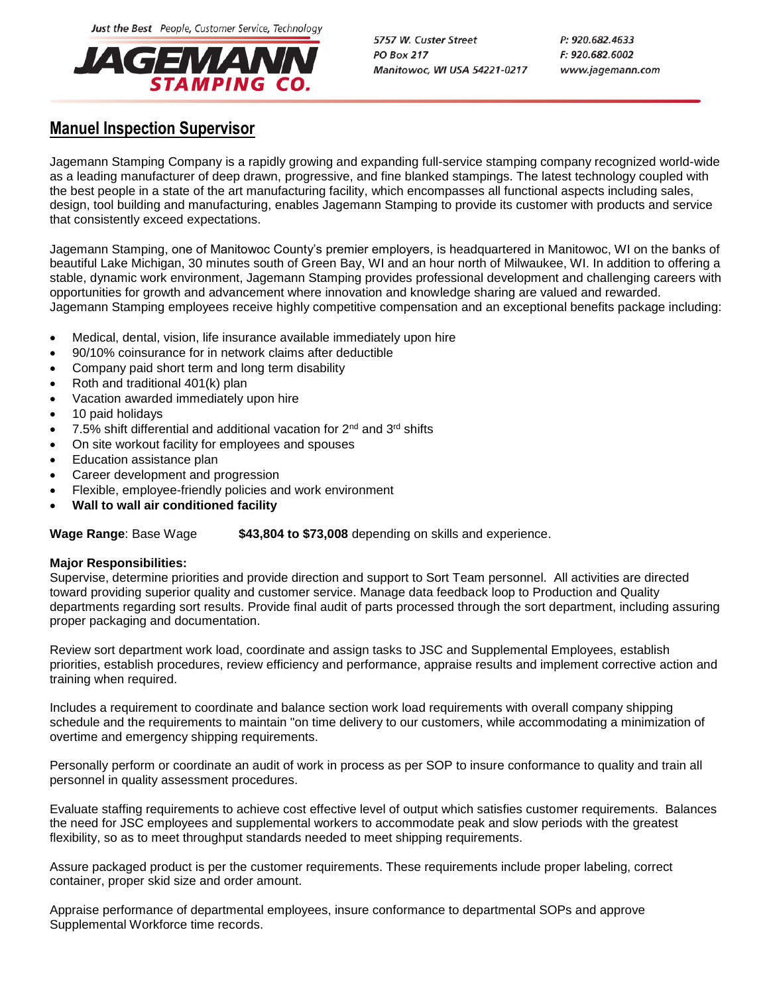Just the Best People, Customer Service, Technology



5757 W. Custer Street **PO Box 217** Manitowoc, WI USA 54221-0217

# **Manuel Inspection Supervisor**

Jagemann Stamping Company is a rapidly growing and expanding full-service stamping company recognized world-wide as a leading manufacturer of deep drawn, progressive, and fine blanked stampings. The latest technology coupled with the best people in a state of the art manufacturing facility, which encompasses all functional aspects including sales, design, tool building and manufacturing, enables Jagemann Stamping to provide its customer with products and service that consistently exceed expectations.

Jagemann Stamping, one of Manitowoc County's premier employers, is headquartered in Manitowoc, WI on the banks of beautiful Lake Michigan, 30 minutes south of Green Bay, WI and an hour north of Milwaukee, WI. In addition to offering a stable, dynamic work environment, Jagemann Stamping provides professional development and challenging careers with opportunities for growth and advancement where innovation and knowledge sharing are valued and rewarded. Jagemann Stamping employees receive highly competitive compensation and an exceptional benefits package including:

- Medical, dental, vision, life insurance available immediately upon hire
- 90/10% coinsurance for in network claims after deductible
- Company paid short term and long term disability
- Roth and traditional 401(k) plan
- Vacation awarded immediately upon hire
- 10 paid holidays
- 7.5% shift differential and additional vacation for 2nd and 3rd shifts
- On site workout facility for employees and spouses
- Education assistance plan
- Career development and progression
- Flexible, employee-friendly policies and work environment
- **Wall to wall air conditioned facility**

**Wage Range: Base Wage \$43,804 to \$73,008** depending on skills and experience.

## **Major Responsibilities:**

Supervise, determine priorities and provide direction and support to Sort Team personnel. All activities are directed toward providing superior quality and customer service. Manage data feedback loop to Production and Quality departments regarding sort results. Provide final audit of parts processed through the sort department, including assuring proper packaging and documentation.

Review sort department work load, coordinate and assign tasks to JSC and Supplemental Employees, establish priorities, establish procedures, review efficiency and performance, appraise results and implement corrective action and training when required.

Includes a requirement to coordinate and balance section work load requirements with overall company shipping schedule and the requirements to maintain "on time delivery to our customers, while accommodating a minimization of overtime and emergency shipping requirements.

Personally perform or coordinate an audit of work in process as per SOP to insure conformance to quality and train all personnel in quality assessment procedures.

Evaluate staffing requirements to achieve cost effective level of output which satisfies customer requirements. Balances the need for JSC employees and supplemental workers to accommodate peak and slow periods with the greatest flexibility, so as to meet throughput standards needed to meet shipping requirements.

Assure packaged product is per the customer requirements. These requirements include proper labeling, correct container, proper skid size and order amount.

Appraise performance of departmental employees, insure conformance to departmental SOPs and approve Supplemental Workforce time records.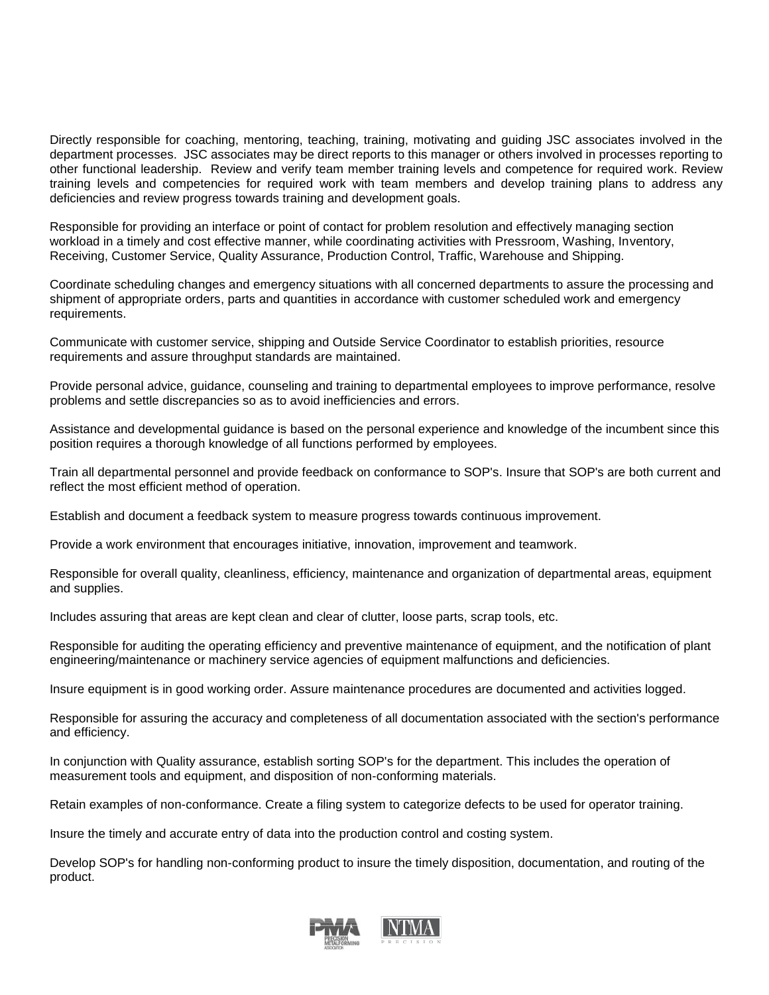Directly responsible for coaching, mentoring, teaching, training, motivating and guiding JSC associates involved in the department processes. JSC associates may be direct reports to this manager or others involved in processes reporting to other functional leadership. Review and verify team member training levels and competence for required work. Review training levels and competencies for required work with team members and develop training plans to address any deficiencies and review progress towards training and development goals.

Responsible for providing an interface or point of contact for problem resolution and effectively managing section workload in a timely and cost effective manner, while coordinating activities with Pressroom, Washing, Inventory, Receiving, Customer Service, Quality Assurance, Production Control, Traffic, Warehouse and Shipping.

Coordinate scheduling changes and emergency situations with all concerned departments to assure the processing and shipment of appropriate orders, parts and quantities in accordance with customer scheduled work and emergency requirements.

Communicate with customer service, shipping and Outside Service Coordinator to establish priorities, resource requirements and assure throughput standards are maintained.

Provide personal advice, guidance, counseling and training to departmental employees to improve performance, resolve problems and settle discrepancies so as to avoid inefficiencies and errors.

Assistance and developmental guidance is based on the personal experience and knowledge of the incumbent since this position requires a thorough knowledge of all functions performed by employees.

Train all departmental personnel and provide feedback on conformance to SOP's. Insure that SOP's are both current and reflect the most efficient method of operation.

Establish and document a feedback system to measure progress towards continuous improvement.

Provide a work environment that encourages initiative, innovation, improvement and teamwork.

Responsible for overall quality, cleanliness, efficiency, maintenance and organization of departmental areas, equipment and supplies.

Includes assuring that areas are kept clean and clear of clutter, loose parts, scrap tools, etc.

Responsible for auditing the operating efficiency and preventive maintenance of equipment, and the notification of plant engineering/maintenance or machinery service agencies of equipment malfunctions and deficiencies.

Insure equipment is in good working order. Assure maintenance procedures are documented and activities logged.

Responsible for assuring the accuracy and completeness of all documentation associated with the section's performance and efficiency.

In conjunction with Quality assurance, establish sorting SOP's for the department. This includes the operation of measurement tools and equipment, and disposition of non-conforming materials.

Retain examples of non-conformance. Create a filing system to categorize defects to be used for operator training.

Insure the timely and accurate entry of data into the production control and costing system.

Develop SOP's for handling non-conforming product to insure the timely disposition, documentation, and routing of the product.